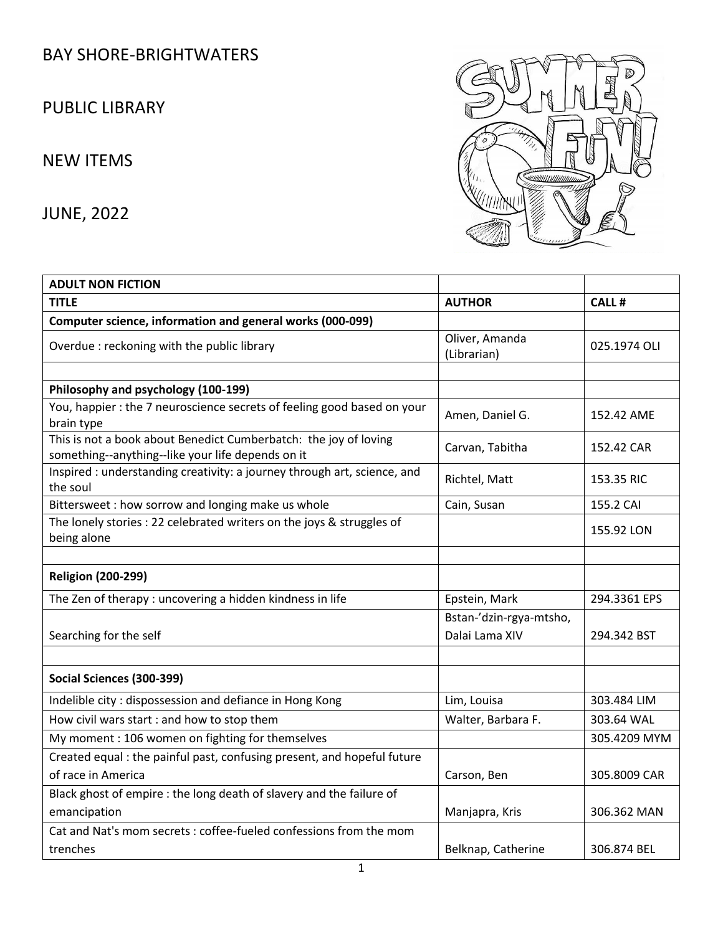## BAY SHORE-BRIGHTWATERS

PUBLIC LIBRARY

## NEW ITEMS

JUNE, 2022



| <b>ADULT NON FICTION</b>                                                                                              |                                           |              |
|-----------------------------------------------------------------------------------------------------------------------|-------------------------------------------|--------------|
| <b>TITLE</b>                                                                                                          | <b>AUTHOR</b>                             | <b>CALL#</b> |
| Computer science, information and general works (000-099)                                                             |                                           |              |
| Overdue : reckoning with the public library                                                                           | Oliver, Amanda<br>(Librarian)             | 025.1974 OLI |
|                                                                                                                       |                                           |              |
| Philosophy and psychology (100-199)                                                                                   |                                           |              |
| You, happier : the 7 neuroscience secrets of feeling good based on your<br>brain type                                 | Amen, Daniel G.                           | 152.42 AME   |
| This is not a book about Benedict Cumberbatch: the joy of loving<br>something--anything--like your life depends on it | Carvan, Tabitha                           | 152.42 CAR   |
| Inspired : understanding creativity: a journey through art, science, and<br>the soul                                  | Richtel, Matt                             | 153.35 RIC   |
| Bittersweet : how sorrow and longing make us whole                                                                    | Cain, Susan                               | 155.2 CAI    |
| The lonely stories : 22 celebrated writers on the joys & struggles of<br>being alone                                  |                                           | 155.92 LON   |
|                                                                                                                       |                                           |              |
| <b>Religion (200-299)</b>                                                                                             |                                           |              |
| The Zen of therapy: uncovering a hidden kindness in life                                                              | Epstein, Mark                             | 294.3361 EPS |
| Searching for the self                                                                                                | Bstan-'dzin-rgya-mtsho,<br>Dalai Lama XIV | 294.342 BST  |
|                                                                                                                       |                                           |              |
| Social Sciences (300-399)                                                                                             |                                           |              |
| Indelible city: dispossession and defiance in Hong Kong                                                               | Lim, Louisa                               | 303.484 LIM  |
| How civil wars start : and how to stop them                                                                           | Walter, Barbara F.                        | 303.64 WAL   |
| My moment: 106 women on fighting for themselves                                                                       |                                           | 305.4209 MYM |
| Created equal: the painful past, confusing present, and hopeful future                                                |                                           |              |
| of race in America                                                                                                    | Carson, Ben                               | 305.8009 CAR |
| Black ghost of empire : the long death of slavery and the failure of                                                  |                                           |              |
| emancipation                                                                                                          | Manjapra, Kris                            | 306.362 MAN  |
| Cat and Nat's mom secrets : coffee-fueled confessions from the mom                                                    |                                           |              |
| trenches                                                                                                              | Belknap, Catherine                        | 306.874 BEL  |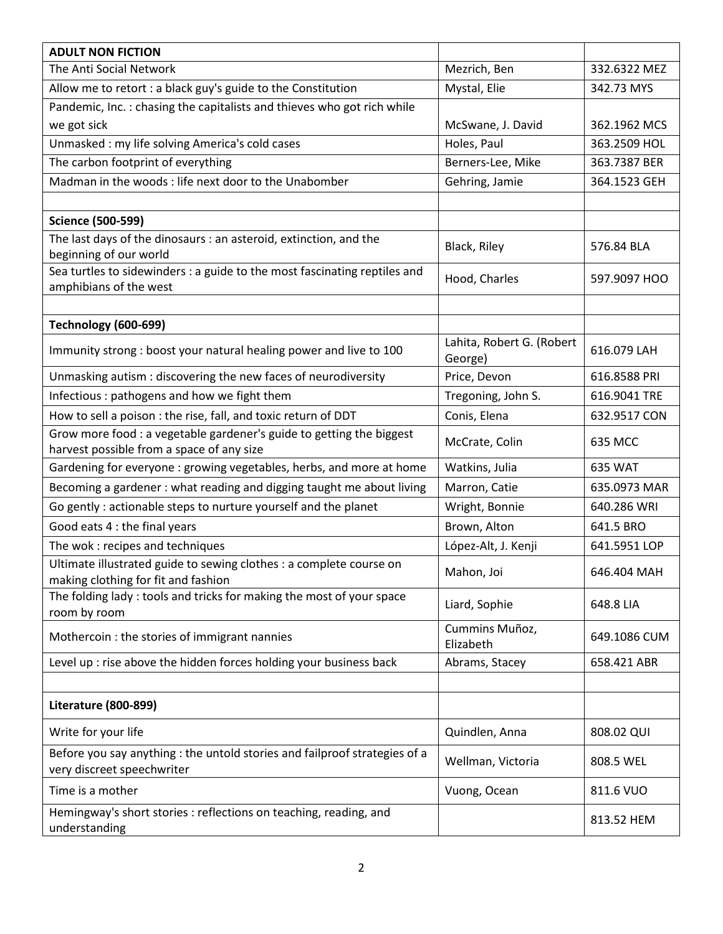| <b>ADULT NON FICTION</b>                                                                                          |                                      |              |
|-------------------------------------------------------------------------------------------------------------------|--------------------------------------|--------------|
| The Anti Social Network                                                                                           | Mezrich, Ben                         | 332.6322 MEZ |
| Allow me to retort : a black guy's guide to the Constitution                                                      | Mystal, Elie                         | 342.73 MYS   |
| Pandemic, Inc.: chasing the capitalists and thieves who got rich while                                            |                                      |              |
| we got sick                                                                                                       | McSwane, J. David                    | 362.1962 MCS |
| Unmasked: my life solving America's cold cases                                                                    | Holes, Paul                          | 363.2509 HOL |
| The carbon footprint of everything                                                                                | Berners-Lee, Mike                    | 363.7387 BER |
| Madman in the woods: life next door to the Unabomber                                                              | Gehring, Jamie                       | 364.1523 GEH |
|                                                                                                                   |                                      |              |
| <b>Science (500-599)</b>                                                                                          |                                      |              |
| The last days of the dinosaurs : an asteroid, extinction, and the                                                 |                                      |              |
| beginning of our world                                                                                            | Black, Riley                         | 576.84 BLA   |
| Sea turtles to sidewinders : a guide to the most fascinating reptiles and                                         | Hood, Charles                        | 597.9097 HOO |
| amphibians of the west                                                                                            |                                      |              |
|                                                                                                                   |                                      |              |
| <b>Technology (600-699)</b>                                                                                       |                                      |              |
| Immunity strong : boost your natural healing power and live to 100                                                | Lahita, Robert G. (Robert<br>George) | 616.079 LAH  |
| Unmasking autism : discovering the new faces of neurodiversity                                                    | Price, Devon                         | 616.8588 PRI |
| Infectious : pathogens and how we fight them                                                                      | Tregoning, John S.                   | 616.9041 TRE |
| How to sell a poison : the rise, fall, and toxic return of DDT                                                    | Conis, Elena                         | 632.9517 CON |
| Grow more food : a vegetable gardener's guide to getting the biggest<br>harvest possible from a space of any size | McCrate, Colin                       | 635 MCC      |
| Gardening for everyone : growing vegetables, herbs, and more at home                                              | Watkins, Julia                       | 635 WAT      |
| Becoming a gardener : what reading and digging taught me about living                                             | Marron, Catie                        | 635.0973 MAR |
| Go gently : actionable steps to nurture yourself and the planet                                                   | Wright, Bonnie                       | 640.286 WRI  |
| Good eats 4 : the final years                                                                                     | Brown, Alton                         | 641.5 BRO    |
| The wok: recipes and techniques                                                                                   | López-Alt, J. Kenji                  | 641.5951 LOP |
| Ultimate illustrated guide to sewing clothes : a complete course on<br>making clothing for fit and fashion        | Mahon, Joi                           | 646.404 MAH  |
| The folding lady: tools and tricks for making the most of your space<br>room by room                              | Liard, Sophie                        | 648.8 LIA    |
| Mothercoin : the stories of immigrant nannies                                                                     | Cummins Muñoz,<br>Elizabeth          | 649.1086 CUM |
| Level up : rise above the hidden forces holding your business back                                                | Abrams, Stacey                       | 658.421 ABR  |
|                                                                                                                   |                                      |              |
| <b>Literature (800-899)</b>                                                                                       |                                      |              |
| Write for your life                                                                                               | Quindlen, Anna                       | 808.02 QUI   |
| Before you say anything : the untold stories and failproof strategies of a<br>very discreet speechwriter          | Wellman, Victoria                    | 808.5 WEL    |
| Time is a mother                                                                                                  | Vuong, Ocean                         | 811.6 VUO    |
| Hemingway's short stories : reflections on teaching, reading, and<br>understanding                                |                                      | 813.52 HEM   |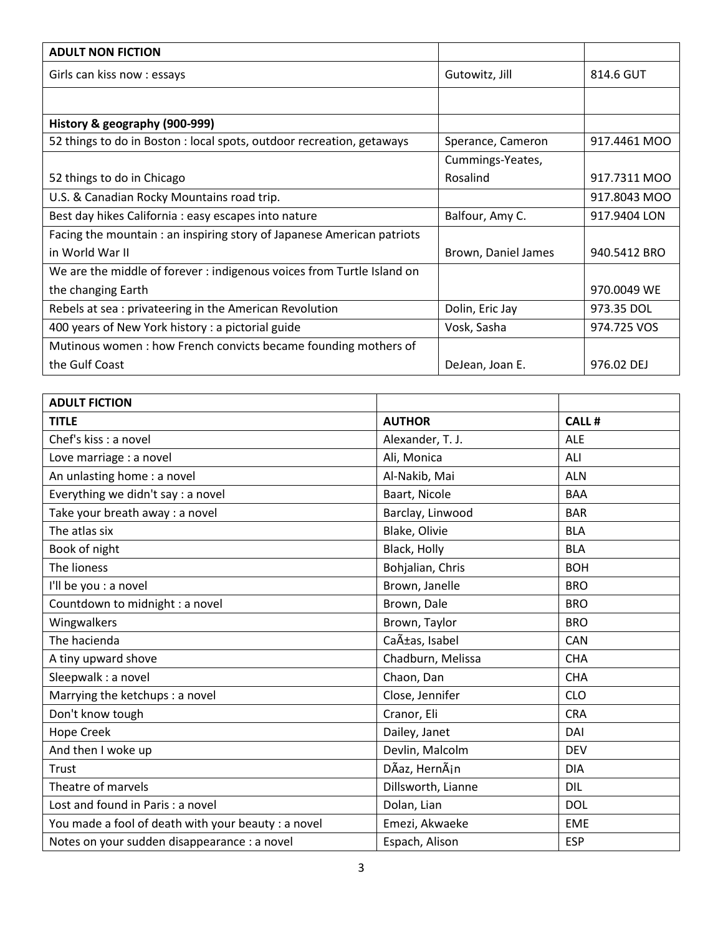| <b>ADULT NON FICTION</b>                                               |                     |              |
|------------------------------------------------------------------------|---------------------|--------------|
| Girls can kiss now : essays                                            | Gutowitz, Jill      | 814.6 GUT    |
|                                                                        |                     |              |
| History & geography (900-999)                                          |                     |              |
| 52 things to do in Boston : local spots, outdoor recreation, getaways  | Sperance, Cameron   | 917.4461 MOO |
|                                                                        | Cummings-Yeates,    |              |
| 52 things to do in Chicago                                             | Rosalind            | 917.7311 MOO |
| U.S. & Canadian Rocky Mountains road trip.                             |                     | 917.8043 MOO |
| Best day hikes California : easy escapes into nature                   | Balfour, Amy C.     | 917.9404 LON |
| Facing the mountain: an inspiring story of Japanese American patriots  |                     |              |
| in World War II                                                        | Brown, Daniel James | 940.5412 BRO |
| We are the middle of forever : indigenous voices from Turtle Island on |                     |              |
| the changing Earth                                                     |                     | 970.0049 WE  |
| Rebels at sea: privateering in the American Revolution                 | Dolin, Eric Jay     | 973.35 DOL   |
| 400 years of New York history : a pictorial guide                      | Vosk, Sasha         | 974.725 VOS  |
| Mutinous women: how French convicts became founding mothers of         |                     |              |
| the Gulf Coast                                                         | DeJean, Joan E.     | 976.02 DEJ   |

| <b>ADULT FICTION</b>                                |                    |              |
|-----------------------------------------------------|--------------------|--------------|
| <b>TITLE</b>                                        | <b>AUTHOR</b>      | <b>CALL#</b> |
| Chef's kiss : a novel                               | Alexander, T. J.   | <b>ALE</b>   |
| Love marriage : a novel                             | Ali, Monica        | ALI          |
| An unlasting home : a novel                         | Al-Nakib, Mai      | <b>ALN</b>   |
| Everything we didn't say : a novel                  | Baart, Nicole      | <b>BAA</b>   |
| Take your breath away : a novel                     | Barclay, Linwood   | <b>BAR</b>   |
| The atlas six                                       | Blake, Olivie      | <b>BLA</b>   |
| Book of night                                       | Black, Holly       | <b>BLA</b>   |
| The lioness                                         | Bohjalian, Chris   | <b>BOH</b>   |
| I'll be you : a novel                               | Brown, Janelle     | <b>BRO</b>   |
| Countdown to midnight : a novel                     | Brown, Dale        | <b>BRO</b>   |
| Wingwalkers                                         | Brown, Taylor      | <b>BRO</b>   |
| The hacienda                                        | Cañas, Isabel      | CAN          |
| A tiny upward shove                                 | Chadburn, Melissa  | <b>CHA</b>   |
| Sleepwalk : a novel                                 | Chaon, Dan         | <b>CHA</b>   |
| Marrying the ketchups : a novel                     | Close, Jennifer    | <b>CLO</b>   |
| Don't know tough                                    | Cranor, Eli        | <b>CRA</b>   |
| Hope Creek                                          | Dailey, Janet      | DAI          |
| And then I woke up                                  | Devlin, Malcolm    | <b>DEV</b>   |
| Trust                                               | DÃaz, HernÃin      | <b>DIA</b>   |
| Theatre of marvels                                  | Dillsworth, Lianne | <b>DIL</b>   |
| Lost and found in Paris : a novel                   | Dolan, Lian        | <b>DOL</b>   |
| You made a fool of death with your beauty : a novel | Emezi, Akwaeke     | <b>EME</b>   |
| Notes on your sudden disappearance : a novel        | Espach, Alison     | <b>ESP</b>   |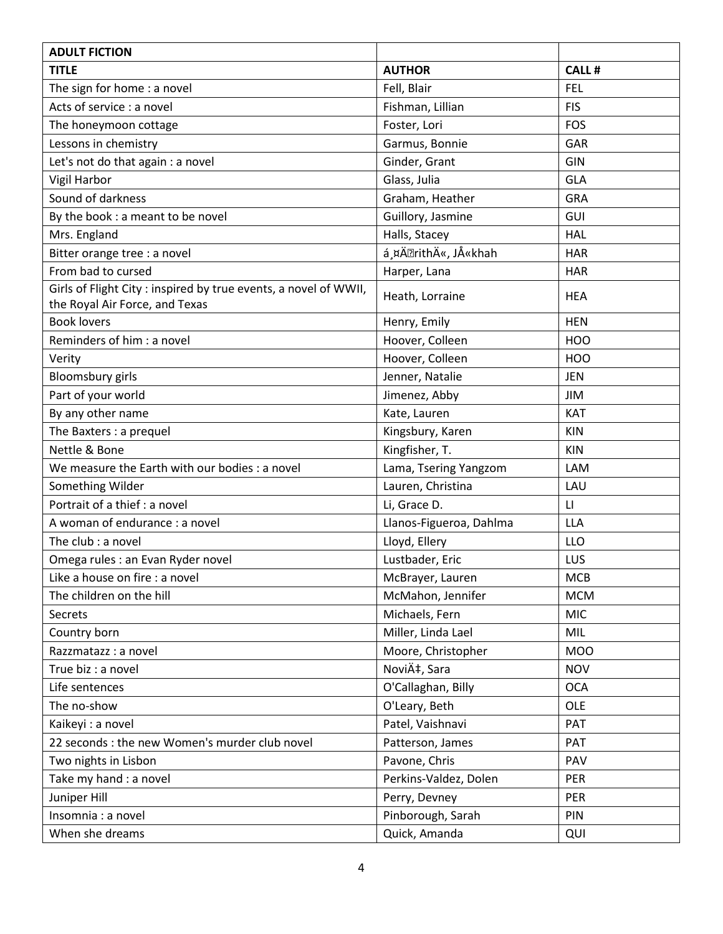| <b>ADULT FICTION</b>                                                                              |                         |                         |
|---------------------------------------------------------------------------------------------------|-------------------------|-------------------------|
| <b>TITLE</b>                                                                                      | <b>AUTHOR</b>           | <b>CALL#</b>            |
| The sign for home : a novel                                                                       | Fell, Blair             | <b>FEL</b>              |
| Acts of service : a novel                                                                         | Fishman, Lillian        | <b>FIS</b>              |
| The honeymoon cottage                                                                             | Foster, Lori            | FOS                     |
| Lessons in chemistry                                                                              | Garmus, Bonnie          | <b>GAR</b>              |
| Let's not do that again : a novel                                                                 | Ginder, Grant           | GIN                     |
| Vigil Harbor                                                                                      | Glass, Julia            | <b>GLA</b>              |
| Sound of darkness                                                                                 | Graham, Heather         | <b>GRA</b>              |
| By the book: a meant to be novel                                                                  | Guillory, Jasmine       | GUI                     |
| Mrs. England                                                                                      | Halls, Stacey           | <b>HAL</b>              |
| Bitter orange tree : a novel                                                                      | á ¤Ä• rithÄ«, JÅ«khah   | <b>HAR</b>              |
| From bad to cursed                                                                                | Harper, Lana            | <b>HAR</b>              |
| Girls of Flight City: inspired by true events, a novel of WWII,<br>the Royal Air Force, and Texas | Heath, Lorraine         | <b>HEA</b>              |
| <b>Book lovers</b>                                                                                | Henry, Emily            | <b>HEN</b>              |
| Reminders of him : a novel                                                                        | Hoover, Colleen         | HOO                     |
| Verity                                                                                            | Hoover, Colleen         | <b>HOO</b>              |
| <b>Bloomsbury</b> girls                                                                           | Jenner, Natalie         | <b>JEN</b>              |
| Part of your world                                                                                | Jimenez, Abby           | JIM                     |
| By any other name                                                                                 | Kate, Lauren            | KAT                     |
| The Baxters : a prequel                                                                           | Kingsbury, Karen        | <b>KIN</b>              |
| Nettle & Bone                                                                                     | Kingfisher, T.          | <b>KIN</b>              |
| We measure the Earth with our bodies : a novel                                                    | Lama, Tsering Yangzom   | <b>LAM</b>              |
| Something Wilder                                                                                  | Lauren, Christina       | LAU                     |
| Portrait of a thief : a novel                                                                     | Li, Grace D.            | $\mathsf{L}\mathsf{L}%$ |
| A woman of endurance : a novel                                                                    | Llanos-Figueroa, Dahlma | <b>LLA</b>              |
| The club : a novel                                                                                | Lloyd, Ellery           | LLO                     |
| Omega rules : an Evan Ryder novel                                                                 | Lustbader, Eric         | LUS                     |
| Like a house on fire : a novel                                                                    | McBrayer, Lauren        | <b>MCB</b>              |
| The children on the hill                                                                          | McMahon, Jennifer       | <b>MCM</b>              |
| Secrets                                                                                           | Michaels, Fern          | <b>MIC</b>              |
| Country born                                                                                      | Miller, Linda Lael      | MIL                     |
| Razzmatazz : a novel                                                                              | Moore, Christopher      | <b>MOO</b>              |
| True biz : a novel                                                                                | Nović, Sara             | <b>NOV</b>              |
| Life sentences                                                                                    | O'Callaghan, Billy      | <b>OCA</b>              |
| The no-show                                                                                       | O'Leary, Beth           | OLE                     |
| Kaikeyi : a novel                                                                                 | Patel, Vaishnavi        | PAT                     |
| 22 seconds : the new Women's murder club novel                                                    | Patterson, James        | PAT                     |
| Two nights in Lisbon                                                                              | Pavone, Chris           | PAV                     |
| Take my hand : a novel                                                                            | Perkins-Valdez, Dolen   | <b>PER</b>              |
| Juniper Hill                                                                                      | Perry, Devney           | PER                     |
| Insomnia : a novel                                                                                | Pinborough, Sarah       | PIN                     |
| When she dreams                                                                                   | Quick, Amanda           | QUI                     |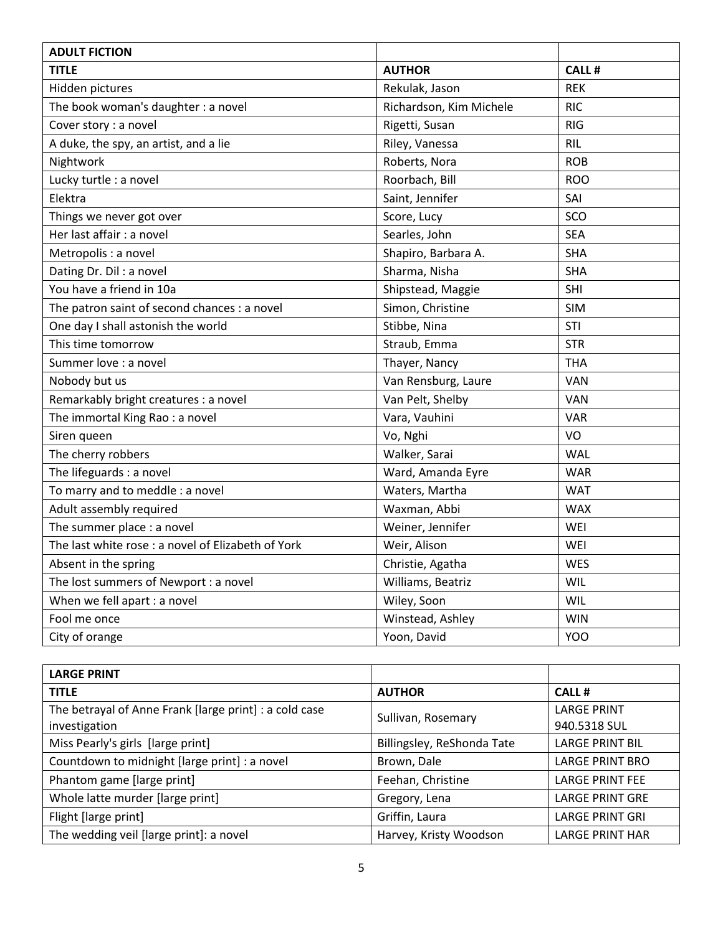| <b>ADULT FICTION</b>                               |                         |            |
|----------------------------------------------------|-------------------------|------------|
| <b>TITLE</b>                                       | <b>AUTHOR</b>           | CALL #     |
| Hidden pictures                                    | Rekulak, Jason          | <b>REK</b> |
| The book woman's daughter : a novel                | Richardson, Kim Michele | <b>RIC</b> |
| Cover story : a novel                              | Rigetti, Susan          | <b>RIG</b> |
| A duke, the spy, an artist, and a lie              | Riley, Vanessa          | <b>RIL</b> |
| Nightwork                                          | Roberts, Nora           | <b>ROB</b> |
| Lucky turtle : a novel                             | Roorbach, Bill          | <b>ROO</b> |
| Elektra                                            | Saint, Jennifer         | SAI        |
| Things we never got over                           | Score, Lucy             | SCO        |
| Her last affair : a novel                          | Searles, John           | <b>SEA</b> |
| Metropolis : a novel                               | Shapiro, Barbara A.     | <b>SHA</b> |
| Dating Dr. Dil: a novel                            | Sharma, Nisha           | <b>SHA</b> |
| You have a friend in 10a                           | Shipstead, Maggie       | SHI        |
| The patron saint of second chances : a novel       | Simon, Christine        | <b>SIM</b> |
| One day I shall astonish the world                 | Stibbe, Nina            | STI        |
| This time tomorrow                                 | Straub, Emma            | <b>STR</b> |
| Summer love : a novel                              | Thayer, Nancy           | <b>THA</b> |
| Nobody but us                                      | Van Rensburg, Laure     | VAN        |
| Remarkably bright creatures : a novel              | Van Pelt, Shelby        | VAN        |
| The immortal King Rao : a novel                    | Vara, Vauhini           | <b>VAR</b> |
| Siren queen                                        | Vo, Nghi                | VO         |
| The cherry robbers                                 | Walker, Sarai           | <b>WAL</b> |
| The lifeguards : a novel                           | Ward, Amanda Eyre       | <b>WAR</b> |
| To marry and to meddle : a novel                   | Waters, Martha          | <b>WAT</b> |
| Adult assembly required                            | Waxman, Abbi            | <b>WAX</b> |
| The summer place : a novel                         | Weiner, Jennifer        | WEI        |
| The last white rose : a novel of Elizabeth of York | Weir, Alison            | WEI        |
| Absent in the spring                               | Christie, Agatha        | <b>WES</b> |
| The lost summers of Newport : a novel              | Williams, Beatriz       | WIL        |
| When we fell apart : a novel                       | Wiley, Soon             | WIL        |
| Fool me once                                       | Winstead, Ashley        | <b>WIN</b> |
| City of orange                                     | Yoon, David             | <b>YOO</b> |

| <b>LARGE PRINT</b>                                     |                            |                        |
|--------------------------------------------------------|----------------------------|------------------------|
| <b>TITLE</b>                                           | <b>AUTHOR</b>              | <b>CALL#</b>           |
| The betrayal of Anne Frank [large print] : a cold case | Sullivan, Rosemary         | <b>LARGE PRINT</b>     |
| investigation                                          |                            | 940.5318 SUL           |
| Miss Pearly's girls [large print]                      | Billingsley, ReShonda Tate | <b>LARGE PRINT BIL</b> |
| Countdown to midnight [large print] : a novel          | Brown, Dale                | <b>LARGE PRINT BRO</b> |
| Phantom game [large print]                             | Feehan, Christine          | <b>LARGE PRINT FEE</b> |
| Whole latte murder [large print]                       | Gregory, Lena              | <b>LARGE PRINT GRE</b> |
| Flight [large print]                                   | Griffin, Laura             | <b>LARGE PRINT GRI</b> |
| The wedding veil [large print]: a novel                | Harvey, Kristy Woodson     | <b>LARGE PRINT HAR</b> |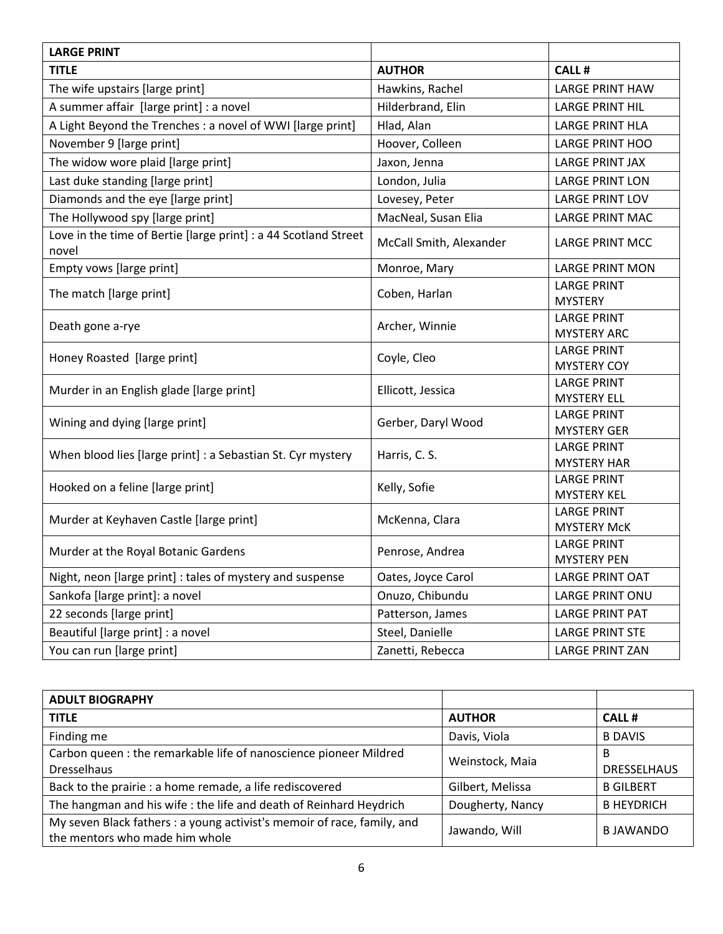| <b>LARGE PRINT</b>                                                       |                         |                                          |
|--------------------------------------------------------------------------|-------------------------|------------------------------------------|
| <b>TITLE</b>                                                             | <b>AUTHOR</b>           | <b>CALL#</b>                             |
| The wife upstairs [large print]                                          | Hawkins, Rachel         | <b>LARGE PRINT HAW</b>                   |
| A summer affair [large print] : a novel                                  | Hilderbrand, Elin       | <b>LARGE PRINT HIL</b>                   |
| A Light Beyond the Trenches : a novel of WWI [large print]               | Hlad, Alan              | <b>LARGE PRINT HLA</b>                   |
| November 9 [large print]                                                 | Hoover, Colleen         | <b>LARGE PRINT HOO</b>                   |
| The widow wore plaid [large print]                                       | Jaxon, Jenna            | <b>LARGE PRINT JAX</b>                   |
| Last duke standing [large print]                                         | London, Julia           | <b>LARGE PRINT LON</b>                   |
| Diamonds and the eye [large print]                                       | Lovesey, Peter          | <b>LARGE PRINT LOV</b>                   |
| The Hollywood spy [large print]                                          | MacNeal, Susan Elia     | <b>LARGE PRINT MAC</b>                   |
| Love in the time of Bertie [large print] : a 44 Scotland Street<br>novel | McCall Smith, Alexander | <b>LARGE PRINT MCC</b>                   |
| Empty vows [large print]                                                 | Monroe, Mary            | <b>LARGE PRINT MON</b>                   |
| The match [large print]                                                  | Coben, Harlan           | <b>LARGE PRINT</b><br><b>MYSTERY</b>     |
| Death gone a-rye                                                         | Archer, Winnie          | <b>LARGE PRINT</b><br><b>MYSTERY ARC</b> |
| Honey Roasted [large print]                                              | Coyle, Cleo             | <b>LARGE PRINT</b><br><b>MYSTERY COY</b> |
| Murder in an English glade [large print]                                 | Ellicott, Jessica       | <b>LARGE PRINT</b><br><b>MYSTERY ELL</b> |
| Wining and dying [large print]                                           | Gerber, Daryl Wood      | <b>LARGE PRINT</b><br><b>MYSTERY GER</b> |
| When blood lies [large print] : a Sebastian St. Cyr mystery              | Harris, C. S.           | <b>LARGE PRINT</b><br><b>MYSTERY HAR</b> |
| Hooked on a feline [large print]                                         | Kelly, Sofie            | <b>LARGE PRINT</b><br><b>MYSTERY KEL</b> |
| Murder at Keyhaven Castle [large print]                                  | McKenna, Clara          | <b>LARGE PRINT</b><br><b>MYSTERY McK</b> |
| Murder at the Royal Botanic Gardens                                      | Penrose, Andrea         | <b>LARGE PRINT</b><br><b>MYSTERY PEN</b> |
| Night, neon [large print] : tales of mystery and suspense                | Oates, Joyce Carol      | <b>LARGE PRINT OAT</b>                   |
| Sankofa [large print]: a novel                                           | Onuzo, Chibundu         | <b>LARGE PRINT ONU</b>                   |
| 22 seconds [large print]                                                 | Patterson, James        | <b>LARGE PRINT PAT</b>                   |
| Beautiful [large print] : a novel                                        | Steel, Danielle         | <b>LARGE PRINT STE</b>                   |
| You can run [large print]                                                | Zanetti, Rebecca        | <b>LARGE PRINT ZAN</b>                   |

| <b>ADULT BIOGRAPHY</b>                                                                                    |                  |                    |
|-----------------------------------------------------------------------------------------------------------|------------------|--------------------|
| <b>TITLE</b>                                                                                              | <b>AUTHOR</b>    | <b>CALL#</b>       |
| Finding me                                                                                                | Davis, Viola     | <b>B DAVIS</b>     |
| Carbon queen : the remarkable life of nanoscience pioneer Mildred                                         | Weinstock, Maia  | B                  |
| <b>Dresselhaus</b>                                                                                        |                  | <b>DRESSELHAUS</b> |
| Back to the prairie : a home remade, a life rediscovered                                                  | Gilbert, Melissa | <b>B GILBERT</b>   |
| The hangman and his wife: the life and death of Reinhard Heydrich                                         | Dougherty, Nancy | <b>B HEYDRICH</b>  |
| My seven Black fathers : a young activist's memoir of race, family, and<br>the mentors who made him whole | Jawando, Will    | <b>BJAWANDO</b>    |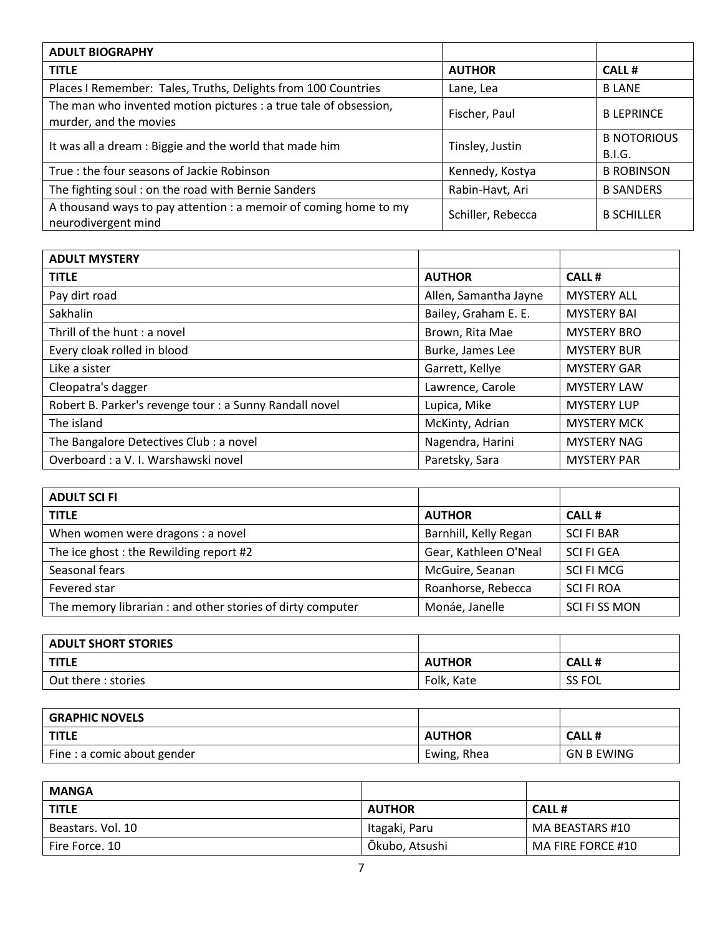| <b>ADULT BIOGRAPHY</b>                                                                     |                   |                              |
|--------------------------------------------------------------------------------------------|-------------------|------------------------------|
| <b>TITLE</b>                                                                               | <b>AUTHOR</b>     | CALL #                       |
| Places I Remember: Tales, Truths, Delights from 100 Countries                              | Lane, Lea         | <b>BLANE</b>                 |
| The man who invented motion pictures : a true tale of obsession,<br>murder, and the movies | Fischer, Paul     | <b>B LEPRINCE</b>            |
| It was all a dream : Biggie and the world that made him                                    | Tinsley, Justin   | <b>B NOTORIOUS</b><br>B.I.G. |
| True: the four seasons of Jackie Robinson                                                  | Kennedy, Kostya   | <b>B ROBINSON</b>            |
| The fighting soul: on the road with Bernie Sanders                                         | Rabin-Havt, Ari   | <b>B SANDERS</b>             |
| A thousand ways to pay attention : a memoir of coming home to my<br>neurodivergent mind    | Schiller, Rebecca | <b>B SCHILLER</b>            |

| <b>ADULT MYSTERY</b>                                    |                       |                    |
|---------------------------------------------------------|-----------------------|--------------------|
| <b>TITLE</b>                                            | <b>AUTHOR</b>         | <b>CALL#</b>       |
| Pay dirt road                                           | Allen, Samantha Jayne | <b>MYSTERY ALL</b> |
| Sakhalin                                                | Bailey, Graham E. E.  | <b>MYSTERY BAI</b> |
| Thrill of the hunt: a novel                             | Brown, Rita Mae       | <b>MYSTERY BRO</b> |
| Every cloak rolled in blood                             | Burke, James Lee      | <b>MYSTERY BUR</b> |
| Like a sister                                           | Garrett, Kellye       | <b>MYSTERY GAR</b> |
| Cleopatra's dagger                                      | Lawrence, Carole      | <b>MYSTERY LAW</b> |
| Robert B. Parker's revenge tour : a Sunny Randall novel | Lupica, Mike          | <b>MYSTERY LUP</b> |
| The island                                              | McKinty, Adrian       | <b>MYSTERY MCK</b> |
| The Bangalore Detectives Club : a novel                 | Nagendra, Harini      | <b>MYSTERY NAG</b> |
| Overboard : a V. I. Warshawski novel                    | Paretsky, Sara        | <b>MYSTERY PAR</b> |

| <b>ADULT SCI FI</b>                                        |                       |                   |
|------------------------------------------------------------|-----------------------|-------------------|
| <b>TITLE</b>                                               | <b>AUTHOR</b>         | CALL#             |
| When women were dragons: a novel                           | Barnhill, Kelly Regan | <b>SCI FI BAR</b> |
| The ice ghost: the Rewilding report #2                     | Gear, Kathleen O'Neal | SCI FI GEA        |
| Seasonal fears                                             | McGuire, Seanan       | SCI FI MCG        |
| Fevered star                                               | Roanhorse, Rebecca    | <b>SCI FI ROA</b> |
| The memory librarian : and other stories of dirty computer | Monáe, Janelle        | SCI FI SS MON     |

| <b>ADULT SHORT STORIES</b> |               |               |
|----------------------------|---------------|---------------|
| <b>TITLE</b>               | <b>AUTHOR</b> | <b>CALL#</b>  |
| Out there : stories        | Folk, Kate    | <b>SS FOL</b> |

| <b>GRAPHIC NOVELS</b>       |               |                   |
|-----------------------------|---------------|-------------------|
| <b>TITLE</b>                | <b>AUTHOR</b> | <b>CALL#</b>      |
| Fine : a comic about gender | Ewing, Rhea   | <b>GN B EWING</b> |

| <b>MANGA</b>      |                |                   |
|-------------------|----------------|-------------------|
| <b>TITLE</b>      | <b>AUTHOR</b>  | CALL #            |
| Beastars. Vol. 10 | Itagaki, Paru  | MA BEASTARS #10   |
| Fire Force, 10    | Ōkubo, Atsushi | MA FIRE FORCE #10 |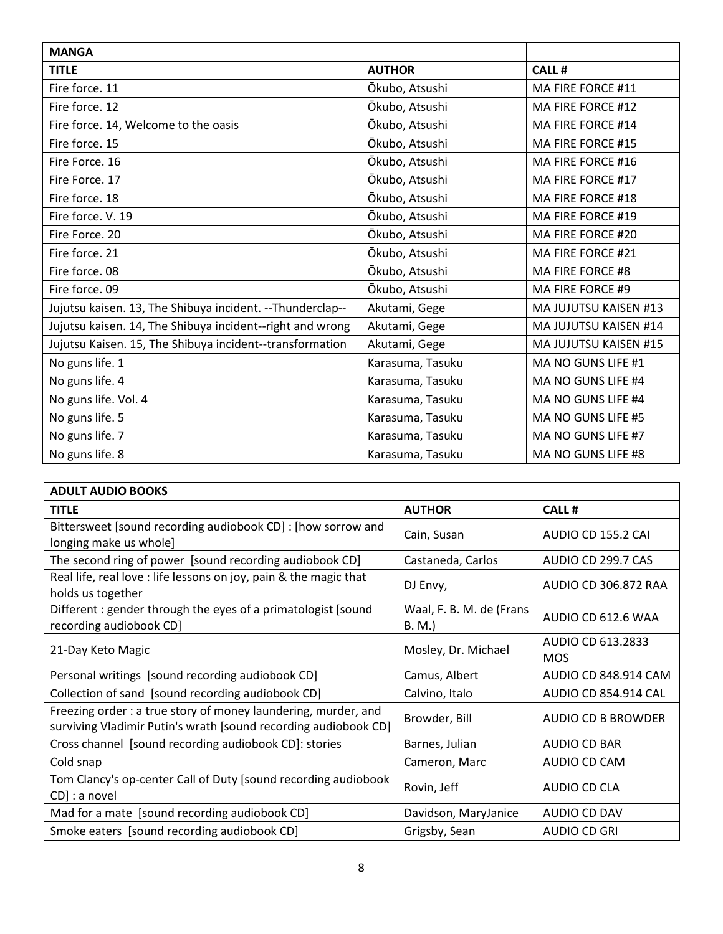| <b>MANGA</b>                                              |                  |                       |
|-----------------------------------------------------------|------------------|-----------------------|
| <b>TITLE</b>                                              | <b>AUTHOR</b>    | CALL#                 |
| Fire force. 11                                            | Ōkubo, Atsushi   | MA FIRE FORCE #11     |
| Fire force. 12                                            | Ōkubo, Atsushi   | MA FIRE FORCE #12     |
| Fire force. 14, Welcome to the oasis                      | Ōkubo, Atsushi   | MA FIRE FORCE #14     |
| Fire force. 15                                            | Ōkubo, Atsushi   | MA FIRE FORCE #15     |
| Fire Force. 16                                            | Ōkubo, Atsushi   | MA FIRE FORCE #16     |
| Fire Force. 17                                            | Ōkubo, Atsushi   | MA FIRE FORCE #17     |
| Fire force, 18                                            | Ōkubo, Atsushi   | MA FIRE FORCE #18     |
| Fire force. V. 19                                         | Ōkubo, Atsushi   | MA FIRE FORCE #19     |
| Fire Force. 20                                            | Ōkubo, Atsushi   | MA FIRE FORCE #20     |
| Fire force. 21                                            | Ōkubo, Atsushi   | MA FIRE FORCE #21     |
| Fire force. 08                                            | Ōkubo, Atsushi   | MA FIRE FORCE #8      |
| Fire force. 09                                            | Ōkubo, Atsushi   | MA FIRE FORCE #9      |
| Jujutsu kaisen. 13, The Shibuya incident. --Thunderclap-- | Akutami, Gege    | MA JUJUTSU KAISEN #13 |
| Jujutsu kaisen. 14, The Shibuya incident--right and wrong | Akutami, Gege    | MA JUJUTSU KAISEN #14 |
| Jujutsu Kaisen. 15, The Shibuya incident--transformation  | Akutami, Gege    | MA JUJUTSU KAISEN #15 |
| No guns life. 1                                           | Karasuma, Tasuku | MA NO GUNS LIFE #1    |
| No guns life. 4                                           | Karasuma, Tasuku | MA NO GUNS LIFE #4    |
| No guns life. Vol. 4                                      | Karasuma, Tasuku | MA NO GUNS LIFE #4    |
| No guns life. 5                                           | Karasuma, Tasuku | MA NO GUNS LIFE #5    |
| No guns life. 7                                           | Karasuma, Tasuku | MA NO GUNS LIFE #7    |
| No guns life. 8                                           | Karasuma, Tasuku | MA NO GUNS LIFE #8    |

| <b>ADULT AUDIO BOOKS</b>                                                                                                         |                                    |                                 |
|----------------------------------------------------------------------------------------------------------------------------------|------------------------------------|---------------------------------|
| <b>TITLE</b>                                                                                                                     | <b>AUTHOR</b>                      | <b>CALL#</b>                    |
| Bittersweet [sound recording audiobook CD] : [how sorrow and<br>longing make us whole]                                           | Cain, Susan                        | AUDIO CD 155.2 CAI              |
| The second ring of power [sound recording audiobook CD]                                                                          | Castaneda, Carlos                  | AUDIO CD 299.7 CAS              |
| Real life, real love : life lessons on joy, pain & the magic that<br>holds us together                                           | DJ Envy,                           | AUDIO CD 306.872 RAA            |
| Different: gender through the eyes of a primatologist [sound<br>recording audiobook CD]                                          | Waal, F. B. M. de (Frans<br>B. M.) | AUDIO CD 612.6 WAA              |
| 21-Day Keto Magic                                                                                                                | Mosley, Dr. Michael                | AUDIO CD 613.2833<br><b>MOS</b> |
| Personal writings [sound recording audiobook CD]                                                                                 | Camus, Albert                      | AUDIO CD 848.914 CAM            |
| Collection of sand [sound recording audiobook CD]                                                                                | Calvino, Italo                     | <b>AUDIO CD 854.914 CAL</b>     |
| Freezing order: a true story of money laundering, murder, and<br>surviving Vladimir Putin's wrath [sound recording audiobook CD] | Browder, Bill                      | AUDIO CD B BROWDER              |
| Cross channel [sound recording audiobook CD]: stories                                                                            | Barnes, Julian                     | AUDIO CD BAR                    |
| Cold snap                                                                                                                        | Cameron, Marc                      | AUDIO CD CAM                    |
| Tom Clancy's op-center Call of Duty [sound recording audiobook<br>CD] : a novel                                                  | Rovin, Jeff                        | AUDIO CD CLA                    |
| Mad for a mate [sound recording audiobook CD]                                                                                    | Davidson, MaryJanice               | AUDIO CD DAV                    |
| Smoke eaters [sound recording audiobook CD]                                                                                      | Grigsby, Sean                      | AUDIO CD GRI                    |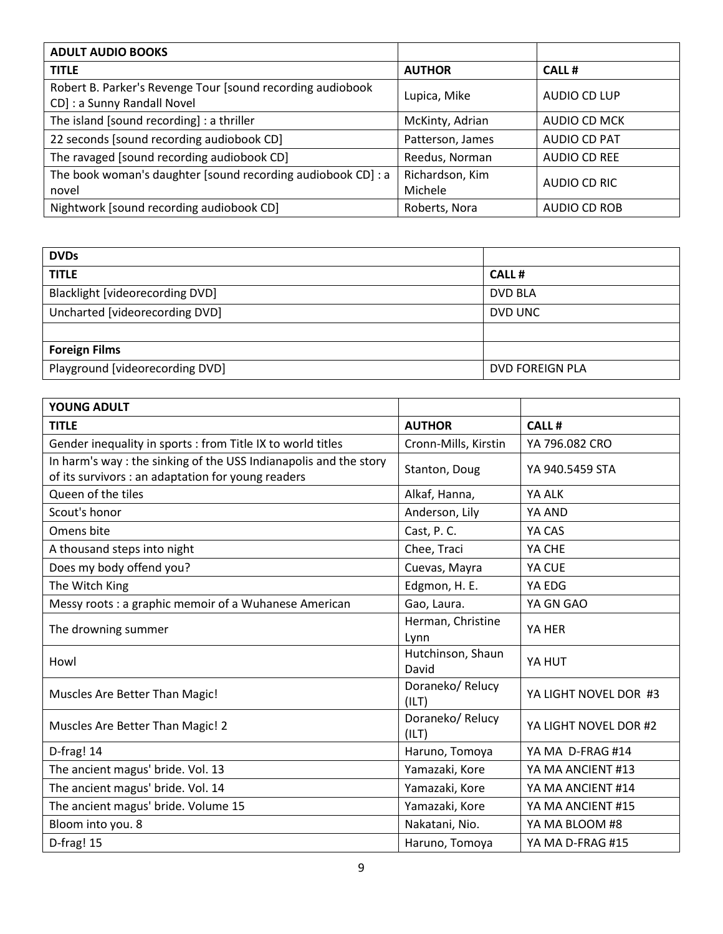| <b>ADULT AUDIO BOOKS</b>                                                                  |                            |              |
|-------------------------------------------------------------------------------------------|----------------------------|--------------|
| <b>TITLE</b>                                                                              | <b>AUTHOR</b>              | <b>CALL#</b> |
| Robert B. Parker's Revenge Tour [sound recording audiobook<br>CD] : a Sunny Randall Novel | Lupica, Mike               | AUDIO CD LUP |
| The island [sound recording] : a thriller                                                 | McKinty, Adrian            | AUDIO CD MCK |
| 22 seconds [sound recording audiobook CD]                                                 | Patterson, James           | AUDIO CD PAT |
| The ravaged [sound recording audiobook CD]                                                | Reedus, Norman             | AUDIO CD REE |
| The book woman's daughter [sound recording audiobook CD] : a<br>novel                     | Richardson, Kim<br>Michele | AUDIO CD RIC |
| Nightwork [sound recording audiobook CD]                                                  | Roberts, Nora              | AUDIO CD ROB |

| <b>DVDs</b>                     |                 |
|---------------------------------|-----------------|
| <b>TITLE</b>                    | <b>CALL#</b>    |
| Blacklight [videorecording DVD] | <b>DVD BLA</b>  |
| Uncharted [videorecording DVD]  | DVD UNC         |
|                                 |                 |
| <b>Foreign Films</b>            |                 |
| Playground [videorecording DVD] | DVD FOREIGN PLA |

| <b>YOUNG ADULT</b>                                                                                                     |                            |                       |
|------------------------------------------------------------------------------------------------------------------------|----------------------------|-----------------------|
| <b>TITLE</b>                                                                                                           | <b>AUTHOR</b>              | <b>CALL#</b>          |
| Gender inequality in sports : from Title IX to world titles                                                            | Cronn-Mills, Kirstin       | YA 796.082 CRO        |
| In harm's way: the sinking of the USS Indianapolis and the story<br>of its survivors : an adaptation for young readers | Stanton, Doug              | YA 940.5459 STA       |
| Queen of the tiles                                                                                                     | Alkaf, Hanna,              | YA ALK                |
| Scout's honor                                                                                                          | Anderson, Lily             | YA AND                |
| Omens bite                                                                                                             | Cast, P.C.                 | YA CAS                |
| A thousand steps into night                                                                                            | Chee, Traci                | YA CHE                |
| Does my body offend you?                                                                                               | Cuevas, Mayra              | YA CUE                |
| The Witch King                                                                                                         | Edgmon, H. E.              | YA EDG                |
| Messy roots : a graphic memoir of a Wuhanese American                                                                  | Gao, Laura.                | YA GN GAO             |
| The drowning summer                                                                                                    | Herman, Christine<br>Lynn  | YA HER                |
| Howl                                                                                                                   | Hutchinson, Shaun<br>David | YA HUT                |
| Muscles Are Better Than Magic!                                                                                         | Doraneko/Relucy<br>(ILT)   | YA LIGHT NOVEL DOR #3 |
| Muscles Are Better Than Magic! 2                                                                                       | Doraneko/ Relucy<br>(ILT)  | YA LIGHT NOVEL DOR #2 |
| D-frag! 14                                                                                                             | Haruno, Tomoya             | YA MA D-FRAG #14      |
| The ancient magus' bride. Vol. 13                                                                                      | Yamazaki, Kore             | YA MA ANCIENT #13     |
| The ancient magus' bride. Vol. 14                                                                                      | Yamazaki, Kore             | YA MA ANCIENT #14     |
| The ancient magus' bride. Volume 15                                                                                    | Yamazaki, Kore             | YA MA ANCIENT #15     |
| Bloom into you. 8                                                                                                      | Nakatani, Nio.             | YA MA BLOOM #8        |
| D-frag! 15                                                                                                             | Haruno, Tomoya             | YA MA D-FRAG #15      |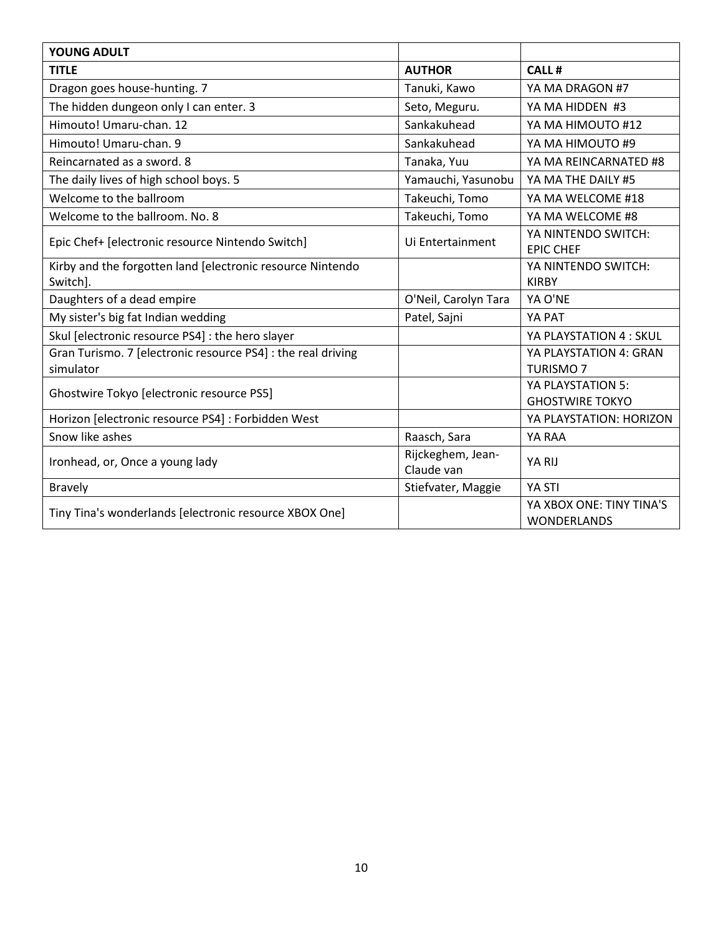| <b>YOUNG ADULT</b>                                                     |                                 |                                                |
|------------------------------------------------------------------------|---------------------------------|------------------------------------------------|
| <b>TITLE</b>                                                           | <b>AUTHOR</b>                   | <b>CALL#</b>                                   |
| Dragon goes house-hunting. 7                                           | Tanuki, Kawo                    | YA MA DRAGON #7                                |
| The hidden dungeon only I can enter. 3                                 | Seto, Meguru.                   | YA MA HIDDEN #3                                |
| Himouto! Umaru-chan. 12                                                | Sankakuhead                     | YA MA HIMOUTO #12                              |
| Himouto! Umaru-chan. 9                                                 | Sankakuhead                     | YA MA HIMOUTO #9                               |
| Reincarnated as a sword. 8                                             | Tanaka, Yuu                     | YA MA REINCARNATED #8                          |
| The daily lives of high school boys. 5                                 | Yamauchi, Yasunobu              | YA MA THE DAILY #5                             |
| Welcome to the ballroom                                                | Takeuchi, Tomo                  | YA MA WELCOME #18                              |
| Welcome to the ballroom. No. 8                                         | Takeuchi, Tomo                  | YA MA WELCOME #8                               |
| Epic Chef+ [electronic resource Nintendo Switch]                       | Ui Entertainment                | YA NINTENDO SWITCH:<br><b>EPIC CHEF</b>        |
| Kirby and the forgotten land [electronic resource Nintendo<br>Switch]. |                                 | YA NINTENDO SWITCH:<br><b>KIRBY</b>            |
| Daughters of a dead empire                                             | O'Neil, Carolyn Tara            | YA O'NE                                        |
| My sister's big fat Indian wedding                                     | Patel, Sajni                    | YA PAT                                         |
| Skul [electronic resource PS4] : the hero slayer                       |                                 | YA PLAYSTATION 4 : SKUL                        |
| Gran Turismo. 7 [electronic resource PS4] : the real driving           |                                 | YA PLAYSTATION 4: GRAN                         |
| simulator                                                              |                                 | <b>TURISMO7</b>                                |
| Ghostwire Tokyo [electronic resource PS5]                              |                                 | YA PLAYSTATION 5:                              |
|                                                                        |                                 | <b>GHOSTWIRE TOKYO</b>                         |
| Horizon [electronic resource PS4] : Forbidden West                     |                                 | YA PLAYSTATION: HORIZON                        |
| Snow like ashes                                                        | Raasch, Sara                    | YA RAA                                         |
| Ironhead, or, Once a young lady                                        | Rijckeghem, Jean-<br>Claude van | YA RIJ                                         |
| <b>Bravely</b>                                                         | Stiefvater, Maggie              | YA STI                                         |
| Tiny Tina's wonderlands [electronic resource XBOX One]                 |                                 | YA XBOX ONE: TINY TINA'S<br><b>WONDERLANDS</b> |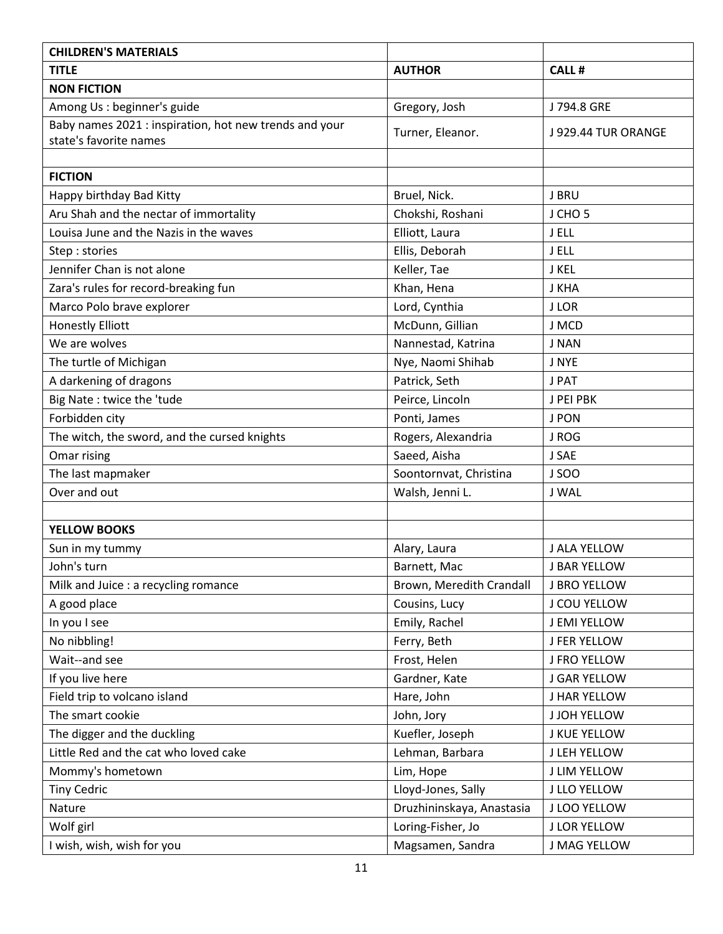| <b>CHILDREN'S MATERIALS</b>                                                      |                           |                     |
|----------------------------------------------------------------------------------|---------------------------|---------------------|
| <b>TITLE</b>                                                                     | <b>AUTHOR</b>             | <b>CALL#</b>        |
| <b>NON FICTION</b>                                                               |                           |                     |
| Among Us : beginner's guide                                                      | Gregory, Josh             | J 794.8 GRE         |
| Baby names 2021 : inspiration, hot new trends and your<br>state's favorite names | Turner, Eleanor.          | J 929.44 TUR ORANGE |
|                                                                                  |                           |                     |
| <b>FICTION</b>                                                                   |                           |                     |
| Happy birthday Bad Kitty                                                         | Bruel, Nick.              | J BRU               |
| Aru Shah and the nectar of immortality                                           | Chokshi, Roshani          | J CHO <sub>5</sub>  |
| Louisa June and the Nazis in the waves                                           | Elliott, Laura            | J ELL               |
| Step: stories                                                                    | Ellis, Deborah            | J ELL               |
| Jennifer Chan is not alone                                                       | Keller, Tae               | J KEL               |
| Zara's rules for record-breaking fun                                             | Khan, Hena                | J KHA               |
| Marco Polo brave explorer                                                        | Lord, Cynthia             | <b>JLOR</b>         |
| <b>Honestly Elliott</b>                                                          | McDunn, Gillian           | J MCD               |
| We are wolves                                                                    | Nannestad, Katrina        | J NAN               |
| The turtle of Michigan                                                           | Nye, Naomi Shihab         | J NYE               |
| A darkening of dragons                                                           | Patrick, Seth             | J PAT               |
| Big Nate: twice the 'tude                                                        | Peirce, Lincoln           | J PEI PBK           |
| Forbidden city                                                                   | Ponti, James              | <b>J PON</b>        |
| The witch, the sword, and the cursed knights                                     | Rogers, Alexandria        | J ROG               |
| Omar rising                                                                      | Saeed, Aisha              | J SAE               |
| The last mapmaker                                                                | Soontornvat, Christina    | <b>JSOO</b>         |
| Over and out                                                                     | Walsh, Jenni L.           | J WAL               |
|                                                                                  |                           |                     |
| <b>YELLOW BOOKS</b>                                                              |                           |                     |
| Sun in my tummy                                                                  | Alary, Laura              | J ALA YELLOW        |
| John's turn                                                                      | Barnett, Mac              | <b>J BAR YELLOW</b> |
| Milk and Juice : a recycling romance                                             | Brown, Meredith Crandall  | J BRO YELLOW        |
| A good place                                                                     | Cousins, Lucy             | J COU YELLOW        |
| In you I see                                                                     | Emily, Rachel             | J EMI YELLOW        |
| No nibbling!                                                                     | Ferry, Beth               | <b>J FER YELLOW</b> |
| Wait--and see                                                                    | Frost, Helen              | <b>J FRO YELLOW</b> |
| If you live here                                                                 | Gardner, Kate             | <b>J GAR YELLOW</b> |
| Field trip to volcano island                                                     | Hare, John                | J HAR YELLOW        |
| The smart cookie                                                                 | John, Jory                | <b>J JOH YELLOW</b> |
| The digger and the duckling                                                      | Kuefler, Joseph           | J KUE YELLOW        |
| Little Red and the cat who loved cake                                            | Lehman, Barbara           | J LEH YELLOW        |
| Mommy's hometown                                                                 | Lim, Hope                 | J LIM YELLOW        |
| <b>Tiny Cedric</b>                                                               | Lloyd-Jones, Sally        | J LLO YELLOW        |
| Nature                                                                           | Druzhininskaya, Anastasia | J LOO YELLOW        |
| Wolf girl                                                                        | Loring-Fisher, Jo         | J LOR YELLOW        |
| I wish, wish, wish for you                                                       | Magsamen, Sandra          | J MAG YELLOW        |